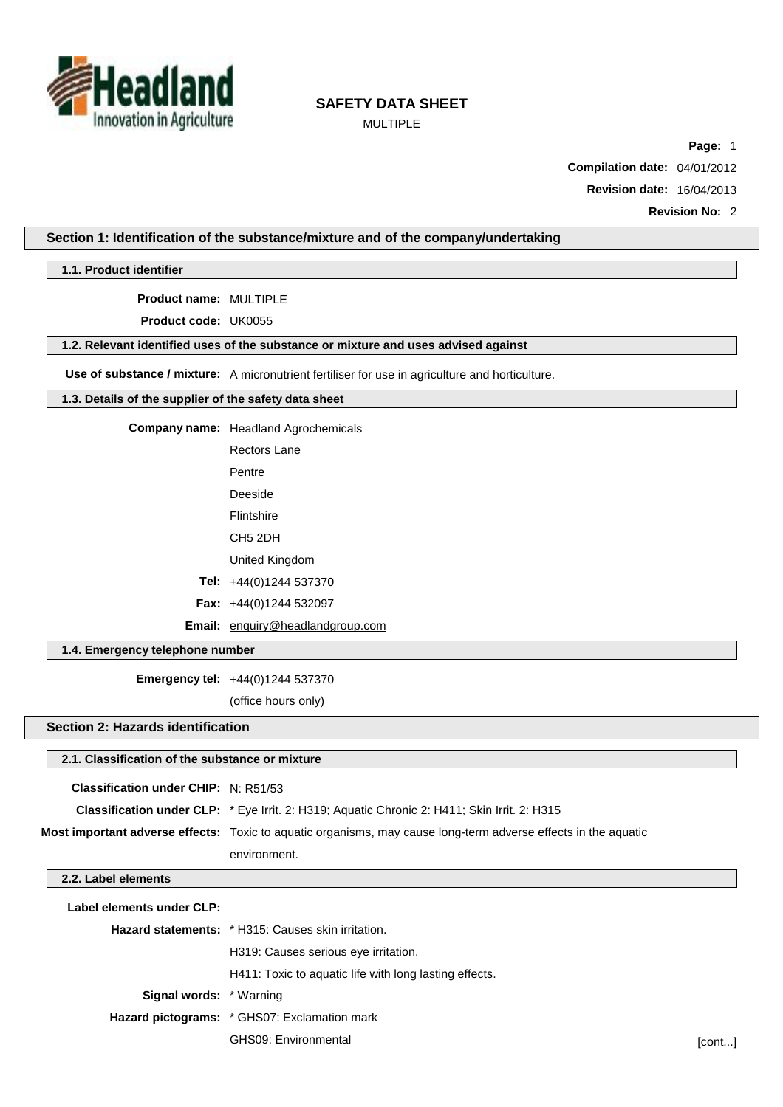

MULTIPLE

**Page:** 1

**Compilation date:** 04/01/2012

**Revision date:** 16/04/2013

**Revision No:** 2

### **Section 1: Identification of the substance/mixture and of the company/undertaking**

**1.1. Product identifier**

**Product name:** MULTIPLE

**Product code:** UK0055

#### **1.2. Relevant identified uses of the substance or mixture and uses advised against**

**Use of substance / mixture:** A micronutrient fertiliser for use in agriculture and horticulture.

### **1.3. Details of the supplier of the safety data sheet**

**Company name:** Headland Agrochemicals

Rectors Lane

Pentre Deeside

Flintshire

CH5 2DH

United Kingdom

**Tel:** +44(0)1244 537370

**Fax:** +44(0)1244 532097

**Email:** [enquiry@headlandgroup.com](mailto:enquiry@headlandgroup.com)

### **1.4. Emergency telephone number**

**Emergency tel:** +44(0)1244 537370

(office hours only)

### **Section 2: Hazards identification**

# **2.1. Classification of the substance or mixture Classification under CHIP:** N: R51/53 **Classification under CLP:** \* Eye Irrit. 2: H319; Aquatic Chronic 2: H411; Skin Irrit. 2: H315 **Most important adverse effects:** Toxic to aquatic organisms, may cause long-term adverse effects in the aquatic environment. **2.2. Label elements Label elements under CLP: Hazard statements:** \* H315: Causes skin irritation. H319: Causes serious eye irritation. H411: Toxic to aquatic life with long lasting effects. **Signal words:** \* Warning **Hazard pictograms:** \* GHS07: Exclamation mark GHS09: Environmental [cont...]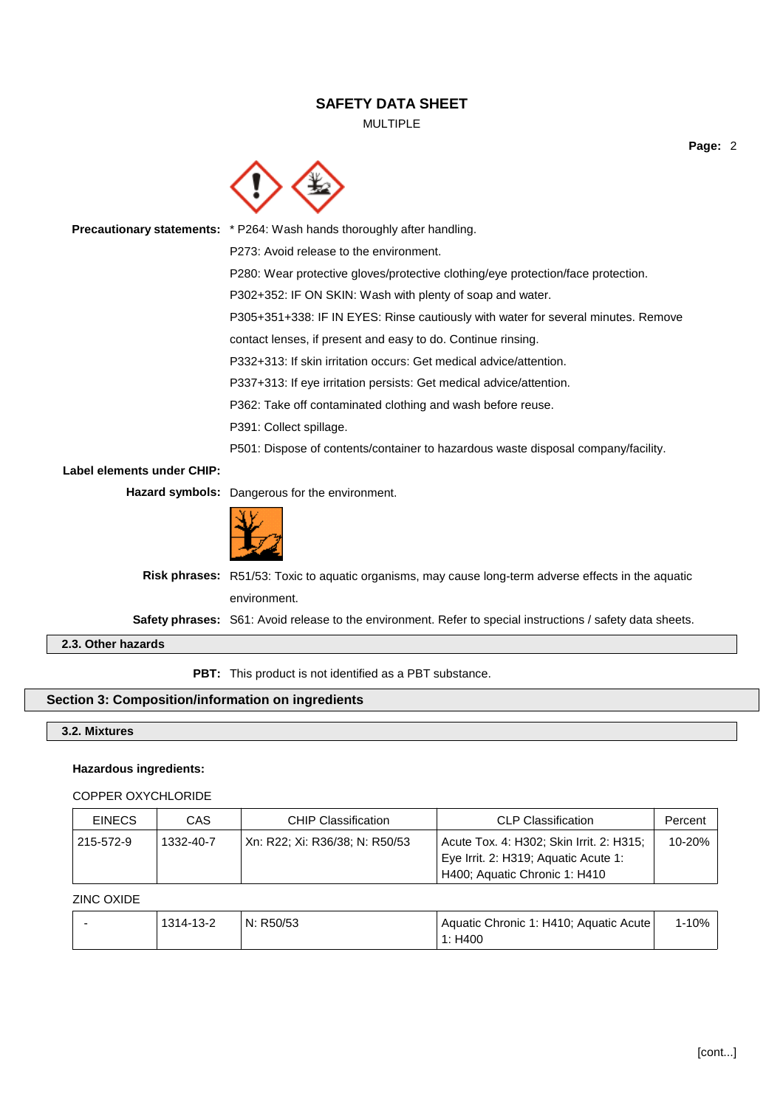### MULTIPLE

**Page:** 2



**Precautionary statements:** \* P264: Wash hands thoroughly after handling. P273: Avoid release to the environment. P280: Wear protective gloves/protective clothing/eye protection/face protection. P302+352: IF ON SKIN: Wash with plenty of soap and water. P305+351+338: IF IN EYES: Rinse cautiously with water for several minutes. Remove contact lenses, if present and easy to do. Continue rinsing. P332+313: If skin irritation occurs: Get medical advice/attention. P337+313: If eye irritation persists: Get medical advice/attention. P362: Take off contaminated clothing and wash before reuse. P391: Collect spillage. P501: Dispose of contents/container to hazardous waste disposal company/facility. **Label elements under CHIP: Hazard symbols:** Dangerous for the environment. **Risk phrases:** R51/53: Toxic to aquatic organisms, may cause long-term adverse effects in the aquatic environment. **Safety phrases:** S61: Avoid release to the environment. Refer to special instructions / safety data sheets. **2.3. Other hazards**

**PBT:** This product is not identified as a PBT substance.

### **Section 3: Composition/information on ingredients**

**3.2. Mixtures**

### **Hazardous ingredients:**

### COPPER OXYCHLORIDE

| <b>EINECS</b> | CAS       | <b>CHIP Classification</b>     | <b>CLP Classification</b>                                                                                         | Percent |
|---------------|-----------|--------------------------------|-------------------------------------------------------------------------------------------------------------------|---------|
| 215-572-9     | 1332-40-7 | Xn: R22; Xi: R36/38; N: R50/53 | Acute Tox. 4: H302; Skin Irrit. 2: H315;<br>Eye Irrit. 2: H319; Aquatic Acute 1:<br>H400; Aquatic Chronic 1: H410 | 10-20%  |

### ZINC OXIDE

| 1314-13-2 | N: R50/53 | Aquatic Chronic 1: H410; Aquatic Acute | 1-10% |
|-----------|-----------|----------------------------------------|-------|
|           |           | 1: H400                                |       |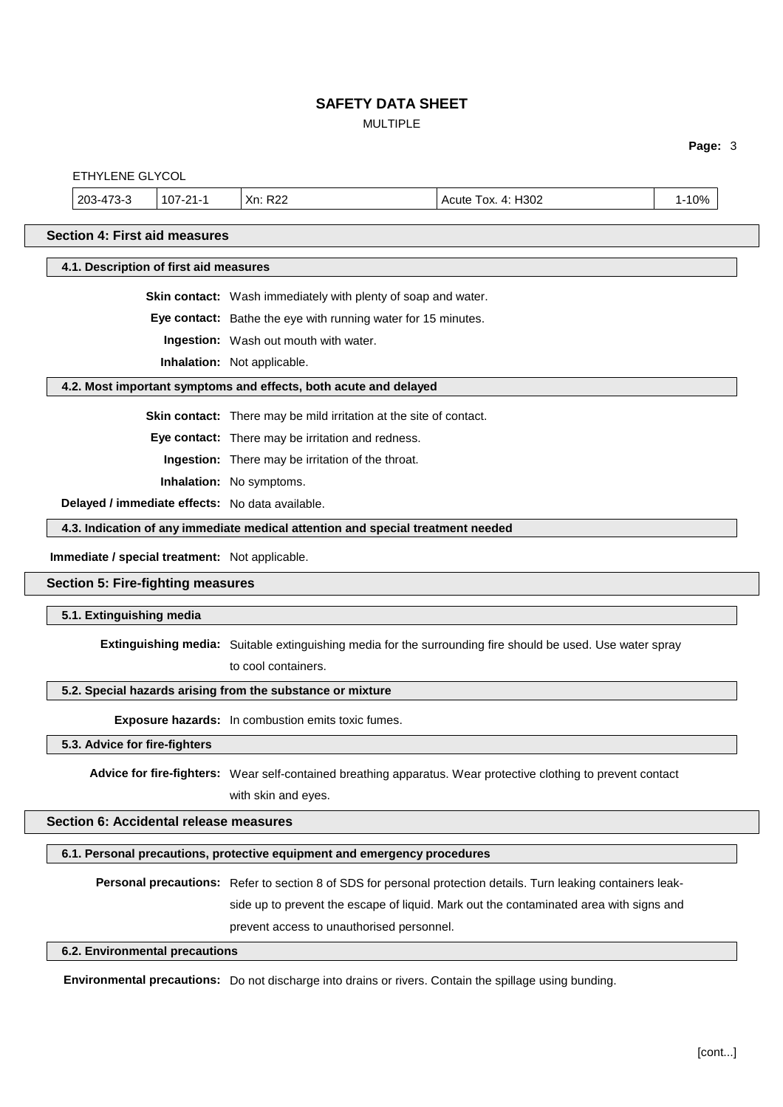# MULTIPLE

**Page:** 3

|                                                 | Personal precautions: Refer to section 8 of SDS for personal protection details. Turn leaking containers leak-<br>side up to prevent the escape of liquid. Mark out the contaminated area with signs and<br>prevent access to unauthorised personnel. |
|-------------------------------------------------|-------------------------------------------------------------------------------------------------------------------------------------------------------------------------------------------------------------------------------------------------------|
|                                                 | 6.1. Personal precautions, protective equipment and emergency procedures                                                                                                                                                                              |
| Section 6: Accidental release measures          |                                                                                                                                                                                                                                                       |
|                                                 | with skin and eyes.                                                                                                                                                                                                                                   |
|                                                 | Advice for fire-fighters: Wear self-contained breathing apparatus. Wear protective clothing to prevent contact                                                                                                                                        |
| 5.3. Advice for fire-fighters                   |                                                                                                                                                                                                                                                       |
|                                                 | Exposure hazards: In combustion emits toxic fumes.                                                                                                                                                                                                    |
|                                                 | 5.2. Special hazards arising from the substance or mixture                                                                                                                                                                                            |
|                                                 | to cool containers.                                                                                                                                                                                                                                   |
|                                                 | Extinguishing media: Suitable extinguishing media for the surrounding fire should be used. Use water spray                                                                                                                                            |
| 5.1. Extinguishing media                        |                                                                                                                                                                                                                                                       |
| <b>Section 5: Fire-fighting measures</b>        |                                                                                                                                                                                                                                                       |
| Immediate / special treatment: Not applicable.  |                                                                                                                                                                                                                                                       |
|                                                 | 4.3. Indication of any immediate medical attention and special treatment needed                                                                                                                                                                       |
| Delayed / immediate effects: No data available. |                                                                                                                                                                                                                                                       |
|                                                 | Inhalation: No symptoms.                                                                                                                                                                                                                              |
|                                                 | Ingestion: There may be irritation of the throat.                                                                                                                                                                                                     |
|                                                 | Skin contact: There may be mild irritation at the site of contact.<br>Eye contact: There may be irritation and redness.                                                                                                                               |
|                                                 |                                                                                                                                                                                                                                                       |
|                                                 | 4.2. Most important symptoms and effects, both acute and delayed                                                                                                                                                                                      |
|                                                 | Ingestion: Wash out mouth with water.<br>Inhalation: Not applicable.                                                                                                                                                                                  |
|                                                 | Eye contact: Bathe the eye with running water for 15 minutes.                                                                                                                                                                                         |
|                                                 | Skin contact: Wash immediately with plenty of soap and water.                                                                                                                                                                                         |
| 4.1. Description of first aid measures          |                                                                                                                                                                                                                                                       |
| <b>Section 4: First aid measures</b>            |                                                                                                                                                                                                                                                       |
|                                                 |                                                                                                                                                                                                                                                       |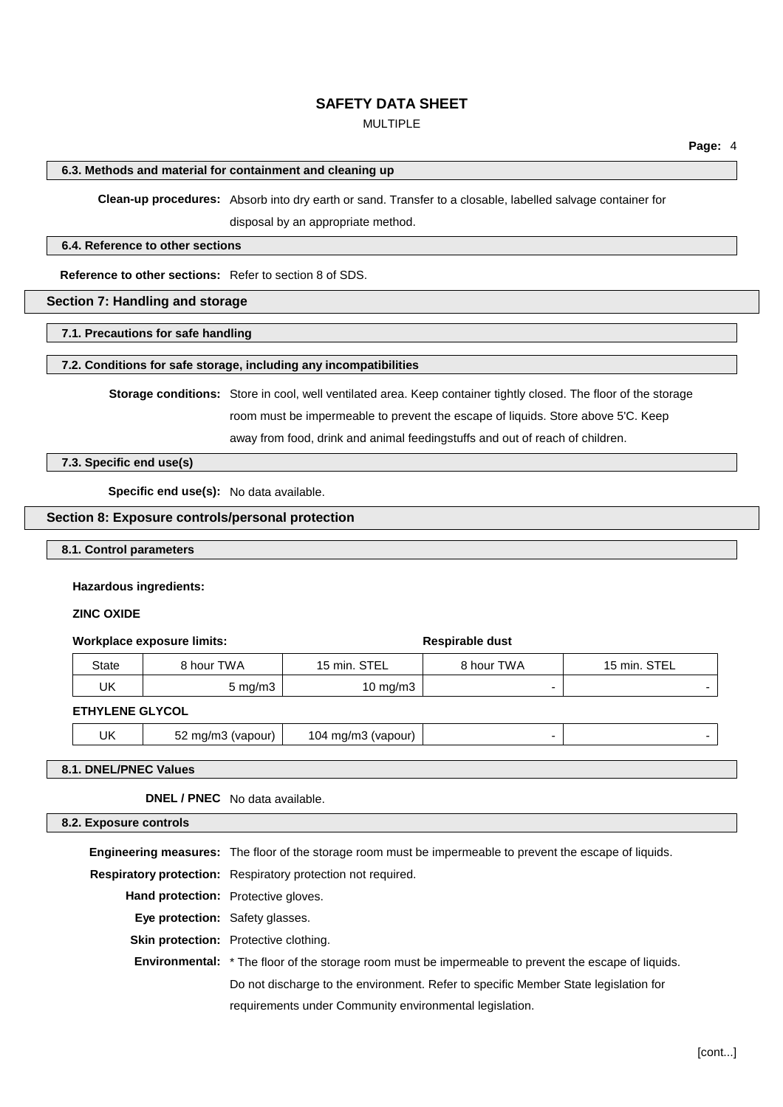### MULTIPLE

#### **6.3. Methods and material for containment and cleaning up**

**Clean-up procedures:** Absorb into dry earth or sand. Transfer to a closable, labelled salvage container for disposal by an appropriate method.

#### **6.4. Reference to other sections**

**Reference to other sections:** Refer to section 8 of SDS.

### **Section 7: Handling and storage**

**7.1. Precautions for safe handling**

#### **7.2. Conditions for safe storage, including any incompatibilities**

**Storage conditions:** Store in cool, well ventilated area. Keep container tightly closed. The floor of the storage room must be impermeable to prevent the escape of liquids. Store above 5'C. Keep

away from food, drink and animal feedingstuffs and out of reach of children.

**7.3. Specific end use(s)**

**Specific end use(s):** No data available.

### **Section 8: Exposure controls/personal protection**

**8.1. Control parameters**

#### **Hazardous ingredients:**

### **ZINC OXIDE**

#### **Workplace exposure limits:**  $\qquad \qquad$  **Respirable** dust

| State | 8 hour TWA       | 15 min. STEL | २ hour TWA | STEL<br>15 min. |
|-------|------------------|--------------|------------|-----------------|
| IJΚ   | $5 \text{ mg/m}$ | 10 mg/m $3$  |            |                 |

#### **ETHYLENE GLYCOL**

UK  $\vert$  52 mg/m3 (vapour)  $\vert$  104 mg/m3 (vapour)

### **8.1. DNEL/PNEC Values**

**DNEL / PNEC** No data available.

#### **8.2. Exposure controls**

**Engineering measures:** The floor of the storage room must be impermeable to prevent the escape of liquids. **Respiratory protection:** Respiratory protection not required. **Hand protection:** Protective gloves. **Eye protection:** Safety glasses. **Skin protection:** Protective clothing. **Environmental:** \* The floor of the storage room must be impermeable to prevent the escape of liquids. Do not discharge to the environment. Refer to specific Member State legislation for requirements under Community environmental legislation.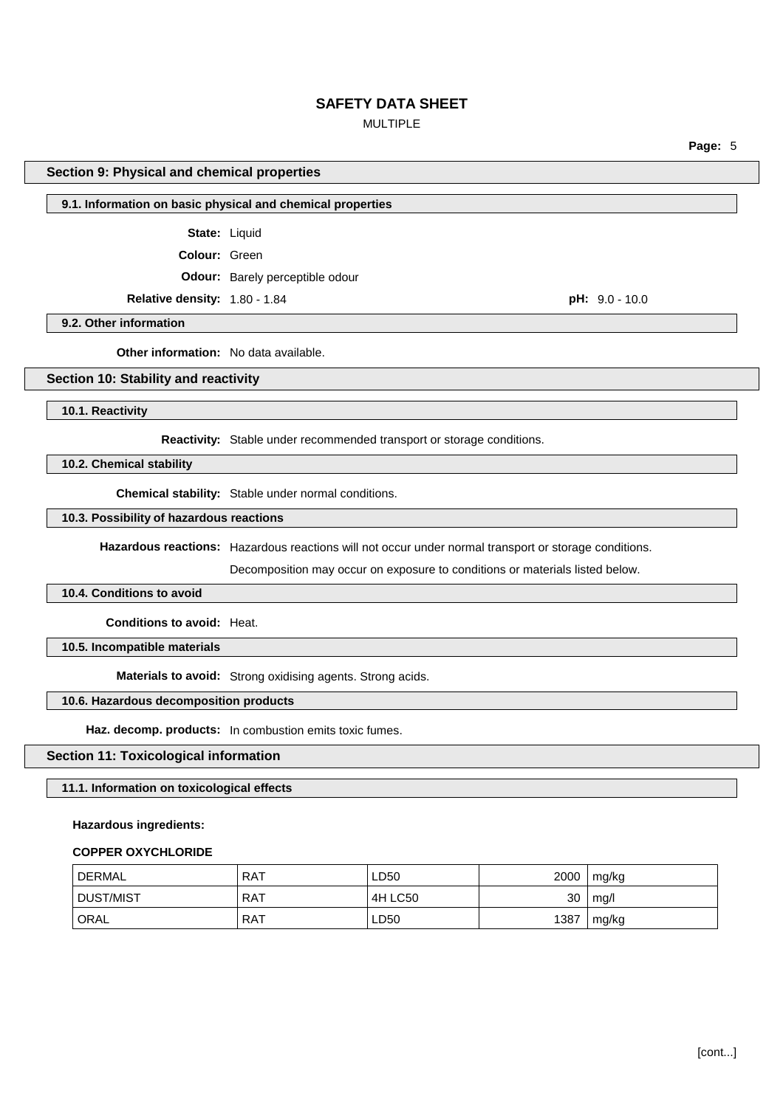### MULTIPLE

**Page:** 5

### **Section 9: Physical and chemical properties**

### **9.1. Information on basic physical and chemical properties**

**State:** Liquid

**Colour:** Green

**Odour:** Barely perceptible odour

**Relative density:** 1.80 - 1.84 **pH:** 9.0 - 10.0

**9.2. Other information**

**Other information:** No data available.

### **Section 10: Stability and reactivity**

**10.1. Reactivity**

**Reactivity:** Stable under recommended transport or storage conditions.

**10.2. Chemical stability**

**Chemical stability:** Stable under normal conditions.

### **10.3. Possibility of hazardous reactions**

**Hazardous reactions:** Hazardous reactions will not occur under normal transport or storage conditions.

Decomposition may occur on exposure to conditions or materials listed below.

#### **10.4. Conditions to avoid**

**Conditions to avoid:** Heat.

**10.5. Incompatible materials**

**Materials to avoid:** Strong oxidising agents. Strong acids.

### **10.6. Hazardous decomposition products**

**Haz. decomp. products:** In combustion emits toxic fumes.

### **Section 11: Toxicological information**

### **11.1. Information on toxicological effects**

#### **Hazardous ingredients:**

#### **COPPER OXYCHLORIDE**

| DERMAL            | RAT   | LD50    | 2000 | mg/kg |
|-------------------|-------|---------|------|-------|
| DUST/MIST         | . RAT | 4H LC50 | 30   | mg/l  |
| <sup>1</sup> ORAL | RAT   | LD50    | 1387 | mg/kg |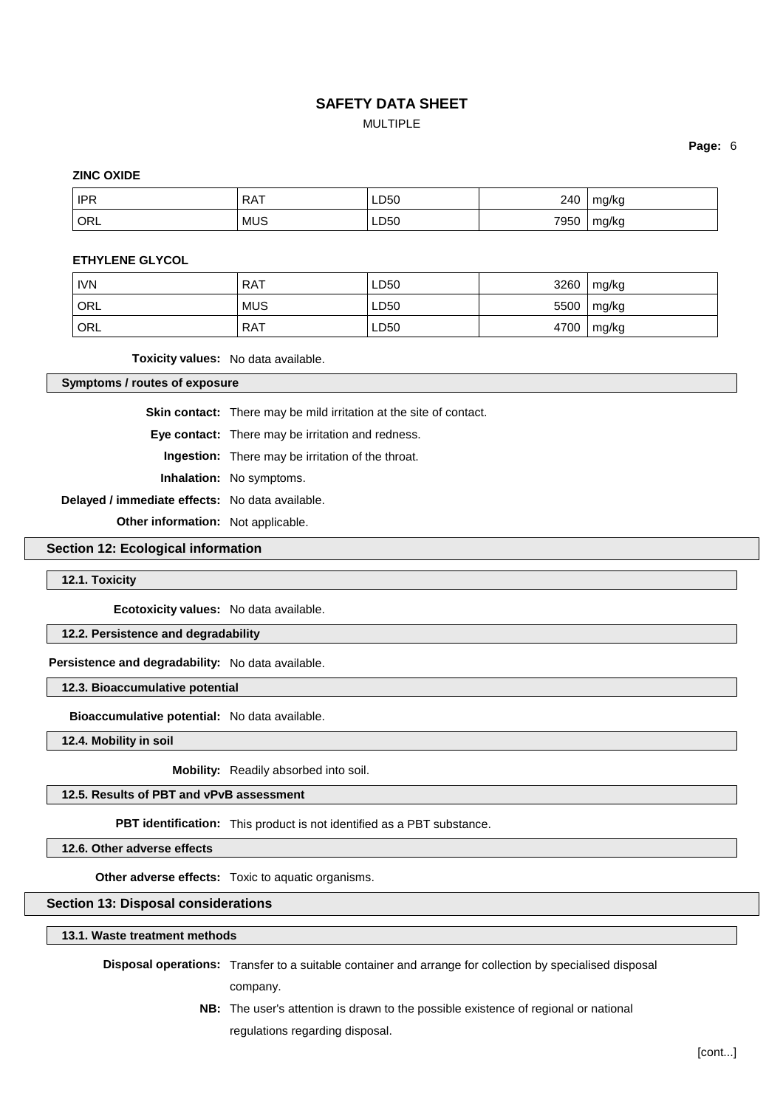## **SAFETY DATA SHEET** MULTIPLE

**Page:** 6

### **ZINC OXIDE**

| <b>IPR</b> | <b>RAT</b> | LD50 | 240  | mg/kg |
|------------|------------|------|------|-------|
| ORL        | <b>MUS</b> | LD50 | 7950 | mg/kg |

### **ETHYLENE GLYCOL**

| <b>IVN</b> | <b>RAT</b> | LD50 | 3260 | mg/kg |
|------------|------------|------|------|-------|
| ' ORL      | <b>MUS</b> | LD50 | 5500 | mg/kg |
| ORL        | <b>RAT</b> | LD50 | 4700 | mg/kg |

**Toxicity values:** No data available.

**Symptoms / routes of exposure**

**Skin contact:** There may be mild irritation at the site of contact.

**Eye contact:** There may be irritation and redness.

**Ingestion:** There may be irritation of the throat.

**Inhalation:** No symptoms.

**Delayed / immediate effects:** No data available.

**Other information:** Not applicable.

### **Section 12: Ecological information**

**12.1. Toxicity**

**Ecotoxicity values:** No data available.

### **12.2. Persistence and degradability**

#### **Persistence and degradability:** No data available.

**12.3. Bioaccumulative potential**

**Bioaccumulative potential:** No data available.

**12.4. Mobility in soil**

**Mobility:** Readily absorbed into soil.

**12.5. Results of PBT and vPvB assessment**

**PBT identification:** This product is not identified as a PBT substance.

**12.6. Other adverse effects**

**Other adverse effects:** Toxic to aquatic organisms.

### **Section 13: Disposal considerations**

**13.1. Waste treatment methods**

**Disposal operations:** Transfer to a suitable container and arrange for collection by specialised disposal

company.

**NB:** The user's attention is drawn to the possible existence of regional or national regulations regarding disposal.

[cont...]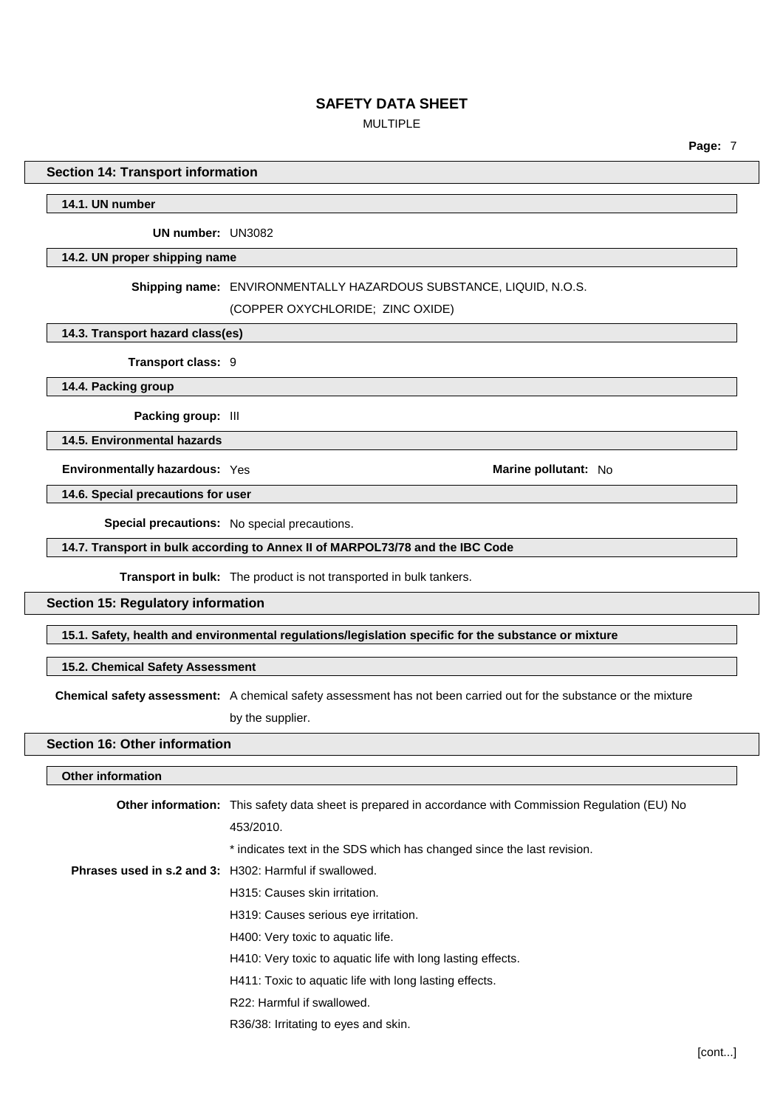### MULTIPLE

**Page:** 7

### **Section 14: Transport information**

**14.1. UN number**

**UN number:** UN3082

#### **14.2. UN proper shipping name**

#### **Shipping name:** ENVIRONMENTALLY HAZARDOUS SUBSTANCE, LIQUID, N.O.S.

(COPPER OXYCHLORIDE; ZINC OXIDE)

### **14.3. Transport hazard class(es)**

**Transport class:** 9

**14.4. Packing group**

**Packing group:** III

**14.5. Environmental hazards**

**Environmentally hazardous:** Yes **Marine Marine Marine pollutant:** No

**14.6. Special precautions for user**

**Special precautions:** No special precautions.

### **14.7. Transport in bulk according to Annex II of MARPOL73/78 and the IBC Code**

**Transport in bulk:** The product is not transported in bulk tankers.

### **Section 15: Regulatory information**

**15.1. Safety, health and environmental regulations/legislation specific for the substance or mixture**

### **15.2. Chemical Safety Assessment**

**Chemical safety assessment:** A chemical safety assessment has not been carried out for the substance or the mixture

by the supplier.

### **Section 16: Other information**

### **Other information**

| <b>Other information:</b> This safety data sheet is prepared in accordance with Commission Regulation (EU) No |
|---------------------------------------------------------------------------------------------------------------|
| 453/2010.                                                                                                     |
| * indicates text in the SDS which has changed since the last revision.                                        |
| Phrases used in s.2 and 3: H302: Harmful if swallowed.                                                        |
| H315: Causes skin irritation.                                                                                 |
| H319: Causes serious eye irritation.                                                                          |
| H400: Very toxic to aquatic life.                                                                             |
| H410: Very toxic to aquatic life with long lasting effects.                                                   |
| H411: Toxic to aquatic life with long lasting effects.                                                        |
| R22: Harmful if swallowed.                                                                                    |
| R36/38: Irritating to eyes and skin.                                                                          |
|                                                                                                               |